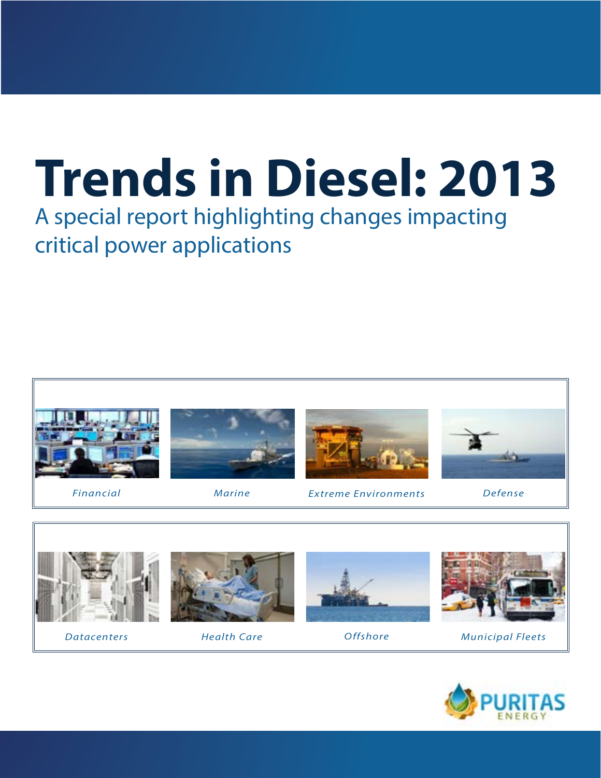# **Trends in Diesel: 2013**

A special report highlighting changes impacting critical power applications





*Datacenters*



*Health Care*



*Offshore*



*Municipal Fleets*

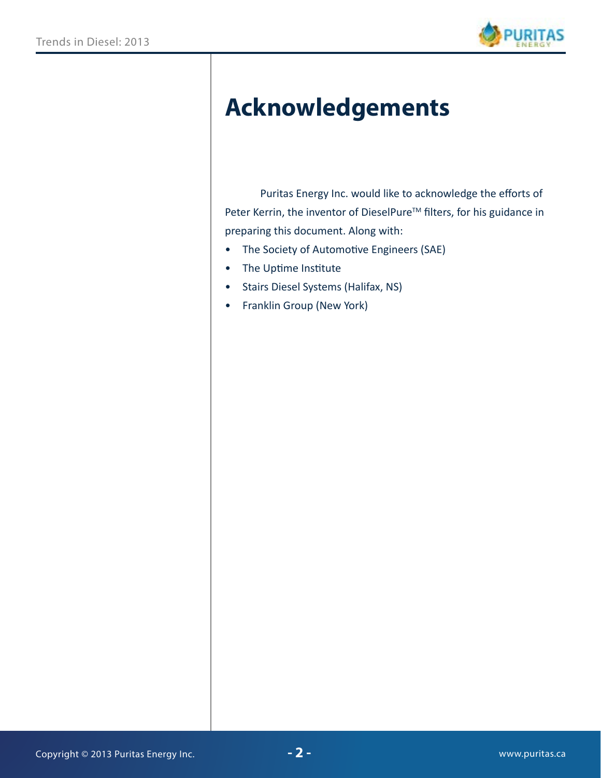

# **Acknowledgements**

 Puritas Energy Inc. would like to acknowledge the efforts of Peter Kerrin, the inventor of DieselPure<sup>™</sup> filters, for his guidance in preparing this document. Along with:

- The Society of Automotive Engineers (SAE)
- The Uptime Institute
- Stairs Diesel Systems (Halifax, NS)
- Franklin Group (New York)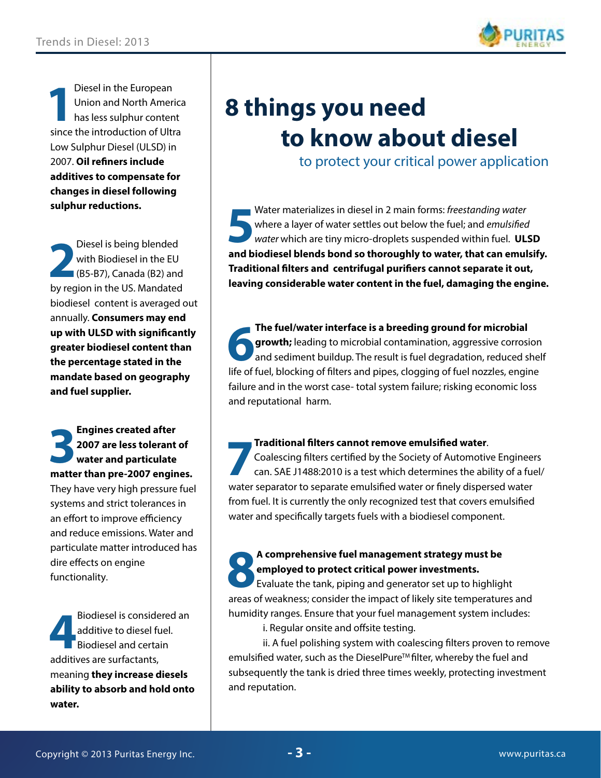

**1** Diesel in the European Union and North America has less sulphur content since the introduction of Ultra Low Sulphur Diesel (ULSD) in 2007. **Oil refiners include additives to compensate for changes in diesel following sulphur reductions.** 

**2** Diesel is being blended with Biodiesel in the EU (B5-B7), Canada (B2) and by region in the US. Mandated biodiesel content is averaged out annually. **Consumers may end up with ULSD with significantly greater biodiesel content than the percentage stated in the mandate based on geography and fuel supplier.** 

**3 Engines created after<br>
2007 are less tolerant<br>
water and particulate 2007 are less tolerant of water and particulate matter than pre-2007 engines.**  They have very high pressure fuel systems and strict tolerances in an effort to improve efficiency and reduce emissions. Water and particulate matter introduced has dire effects on engine functionality.

Biodiesel is considered additive to diesel function and certain additives are surfactants, Biodiesel is considered an additive to diesel fuel. **Biodiesel and certain** meaning **they increase diesels ability to absorb and hold onto water.** 

# **8 things you need to know about diesel**

to protect your critical power application

**5** Water materializes in diesel in 2 main forms: *freestanding water* where a layer of water settles out below the fuel; and *emulsified water* which are tiny micro-droplets suspended within fuel. **ULSD and biodiesel blends bond so thoroughly to water, that can emulsify. Traditional filters and centrifugal purifiers cannot separate it out, leaving considerable water content in the fuel, damaging the engine.**

**6 The fuel/water interface is a breeding ground for microbial growth;** leading to microbial contamination, aggressive corrosion and sediment buildup. The result is fuel degradation, reduced shelf life of fuel, blocking of filters and pipes, clogging of fuel nozzles, engine failure and in the worst case- total system failure; risking economic loss and reputational harm.

#### **Traditional filters cannot remove emulsified water**.

**7** Coalescing filters certified by the Society of Automotive Engineers can. SAE J1488:2010 is a test which determines the ability of a fuel/ water separator to separate emulsified water or finely dispersed water from fuel. It is currently the only recognized test that covers emulsified water and specifically targets fuels with a biodiesel component.

# **8 A comprehensive fuel management strategy must be**<br> **8 Evaluate the tank, piping and generator set up to highlightness consider the impact of likely site temperature employed to protect critical power investments.**

Evaluate the tank, piping and generator set up to highlight areas of weakness; consider the impact of likely site temperatures and humidity ranges. Ensure that your fuel management system includes:

i. Regular onsite and offsite testing.

ii. A fuel polishing system with coalescing filters proven to remove emulsified water, such as the DieselPure<sup>™</sup> filter, whereby the fuel and subsequently the tank is dried three times weekly, protecting investment and reputation.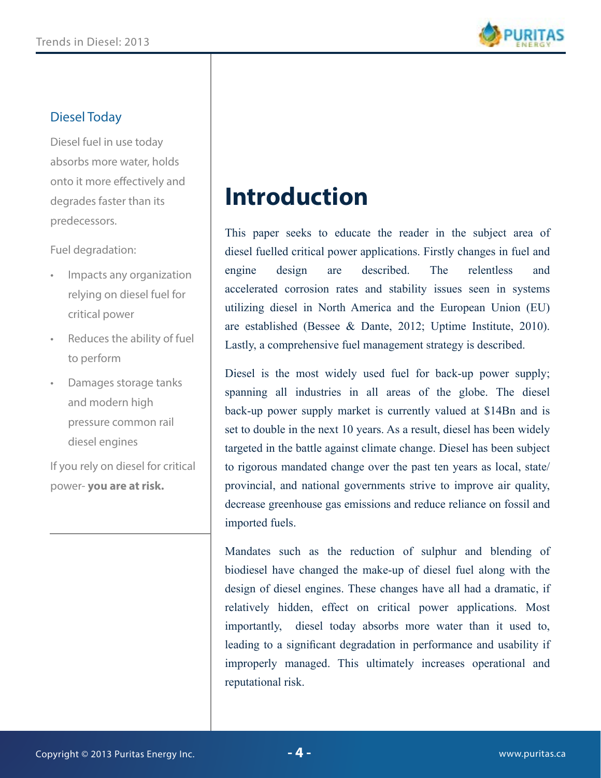

#### Diesel Today

Diesel fuel in use today absorbs more water, holds onto it more effectively and degrades faster than its predecessors.

Fuel degradation:

- Impacts any organization relying on diesel fuel for critical power
- Reduces the ability of fuel to perform
- Damages storage tanks and modern high pressure common rail diesel engines

If you rely on diesel for critical power- **you are at risk.**

# **Introduction**

This paper seeks to educate the reader in the subject area of diesel fuelled critical power applications. Firstly changes in fuel and engine design are described. The relentless and accelerated corrosion rates and stability issues seen in systems utilizing diesel in North America and the European Union (EU) are established (Bessee & Dante, 2012; Uptime Institute, 2010). Lastly, a comprehensive fuel management strategy is described.

Diesel is the most widely used fuel for back-up power supply; spanning all industries in all areas of the globe. The diesel back-up power supply market is currently valued at \$14Bn and is set to double in the next 10 years. As a result, diesel has been widely targeted in the battle against climate change. Diesel has been subject to rigorous mandated change over the past ten years as local, state/ provincial, and national governments strive to improve air quality, decrease greenhouse gas emissions and reduce reliance on fossil and imported fuels.

Mandates such as the reduction of sulphur and blending of biodiesel have changed the make-up of diesel fuel along with the design of diesel engines. These changes have all had a dramatic, if relatively hidden, effect on critical power applications. Most importantly, diesel today absorbs more water than it used to, leading to a significant degradation in performance and usability if improperly managed. This ultimately increases operational and reputational risk.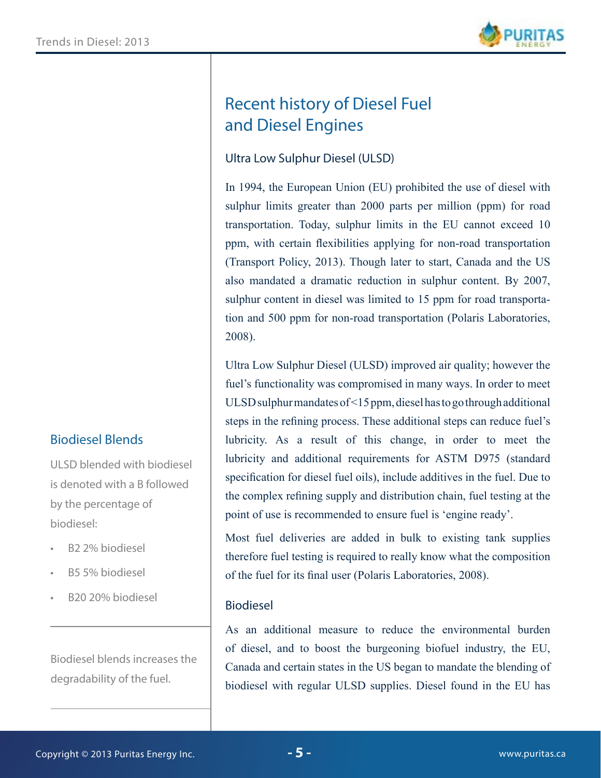

### Recent history of Diesel Fuel and Diesel Engines

#### Ultra Low Sulphur Diesel (ULSD)

In 1994, the European Union (EU) prohibited the use of diesel with sulphur limits greater than 2000 parts per million (ppm) for road transportation. Today, sulphur limits in the EU cannot exceed 10 ppm, with certain flexibilities applying for non-road transportation (Transport Policy, 2013). Though later to start, Canada and the US also mandated a dramatic reduction in sulphur content. By 2007, sulphur content in diesel was limited to 15 ppm for road transportation and 500 ppm for non-road transportation (Polaris Laboratories, 2008).

Ultra Low Sulphur Diesel (ULSD) improved air quality; however the fuel's functionality was compromised in many ways. In order to meet ULSD sulphur mandates of <15 ppm, diesel has to go through additional steps in the refining process. These additional steps can reduce fuel's lubricity. As a result of this change, in order to meet the lubricity and additional requirements for ASTM D975 (standard specification for diesel fuel oils), include additives in the fuel. Due to the complex refining supply and distribution chain, fuel testing at the point of use is recommended to ensure fuel is 'engine ready'.

Most fuel deliveries are added in bulk to existing tank supplies therefore fuel testing is required to really know what the composition of the fuel for its final user (Polaris Laboratories, 2008).

#### Biodiesel

As an additional measure to reduce the environmental burden of diesel, and to boost the burgeoning biofuel industry, the EU, Canada and certain states in the US began to mandate the blending of biodiesel with regular ULSD supplies. Diesel found in the EU has

#### Biodiesel Blends

ULSD blended with biodiesel is denoted with a B followed by the percentage of biodiesel:

- B2 2% biodiesel
- B5 5% biodiesel
- B20 20% biodiesel

Biodiesel blends increases the degradability of the fuel.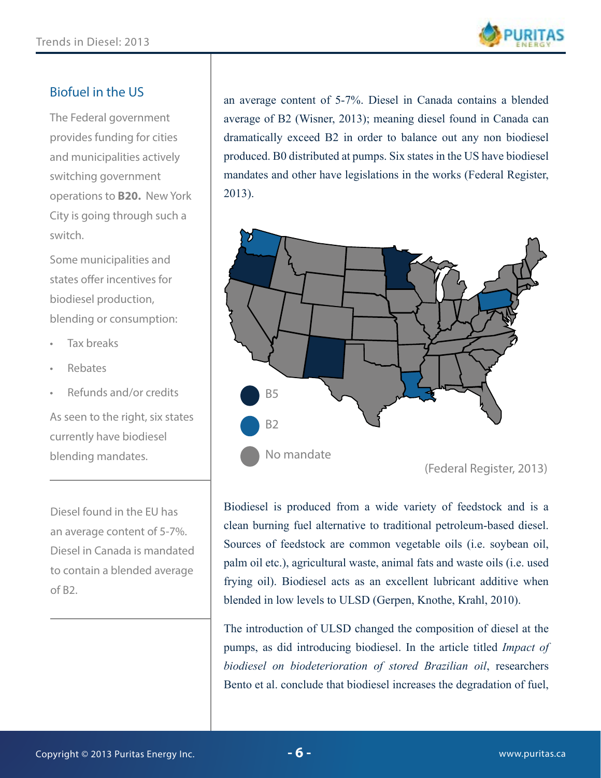

#### Biofuel in the US

The Federal government provides funding for cities and municipalities actively switching government operations to **B20.** New York City is going through such a switch.

Some municipalities and states offer incentives for biodiesel production, blending or consumption:

- Tax breaks
- Rebates
- Refunds and/or credits

As seen to the right, six states currently have biodiesel blending mandates.

Diesel found in the EU has an average content of 5-7%. Diesel in Canada is mandated to contain a blended average of B2.

an average content of 5-7%. Diesel in Canada contains a blended average of B2 (Wisner, 2013); meaning diesel found in Canada can dramatically exceed B2 in order to balance out any non biodiesel produced. B0 distributed at pumps. Six states in the US have biodiesel mandates and other have legislations in the works (Federal Register, 2013).



Biodiesel is produced from a wide variety of feedstock and is a clean burning fuel alternative to traditional petroleum-based diesel. Sources of feedstock are common vegetable oils (i.e. soybean oil, palm oil etc.), agricultural waste, animal fats and waste oils (i.e. used frying oil). Biodiesel acts as an excellent lubricant additive when blended in low levels to ULSD (Gerpen, Knothe, Krahl, 2010).

The introduction of ULSD changed the composition of diesel at the pumps, as did introducing biodiesel. In the article titled *Impact of biodiesel on biodeterioration of stored Brazilian oil*, researchers Bento et al. conclude that biodiesel increases the degradation of fuel,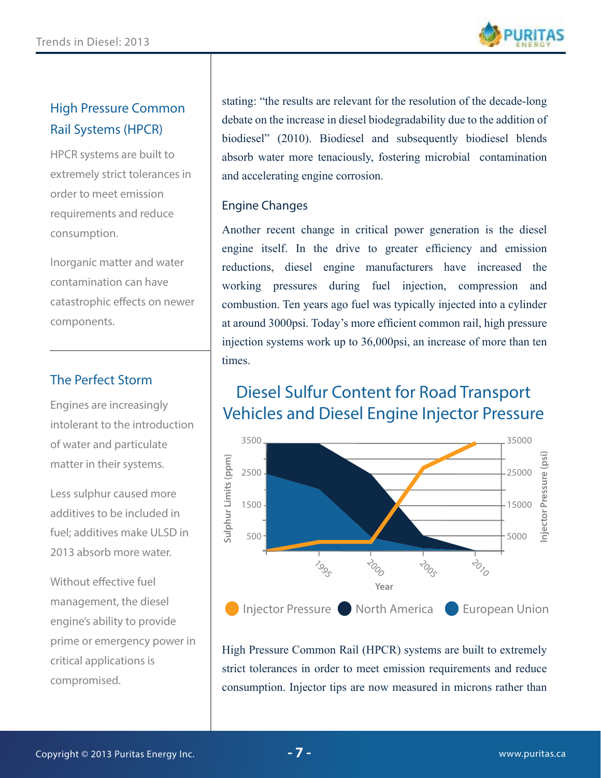

#### High Pressure Common Rail Systems (HPCR)

HPCR systems are built to extremely strict tolerances in order to meet emission requirements and reduce consumption.

Inorganic matter and water contamination can have catastrophic effects on newer components.

#### The Perfect Storm

Engines are increasingly intolerant to the introduction of water and particulate matter in their systems.

Less sulphur caused more additives to be included in fuel; additives make ULSD in 2013 absorb more water.

Without effective fuel management, the diesel engine's ability to provide prime or emergency power in critical applications is compromised.

stating: "the results are relevant for the resolution of the decade-long debate on the increase in diesel biodegradability due to the addition of biodiesel" (2010). Biodiesel and subsequently biodiesel blends absorb water more tenaciously, fostering microbial contamination and accelerating engine corrosion.

#### Engine Changes

Another recent change in critical power generation is the diesel engine itself. In the drive to greater efficiency and emission reductions, diesel engine manufacturers have increased the working pressures during fuel injection, compression and combustion. Ten years ago fuel was typically injected into a cylinder at around 3000psi. Today's more efficient common rail, high pressure injection systems work up to 36,000psi, an increase of more than ten times.

### Diesel Sulfur Content for Road Transport Vehicles and Diesel Engine Injector Pressure



High Pressure Common Rail (HPCR) systems are built to extremely strict tolerances in order to meet emission requirements and reduce consumption. Injector tips are now measured in microns rather than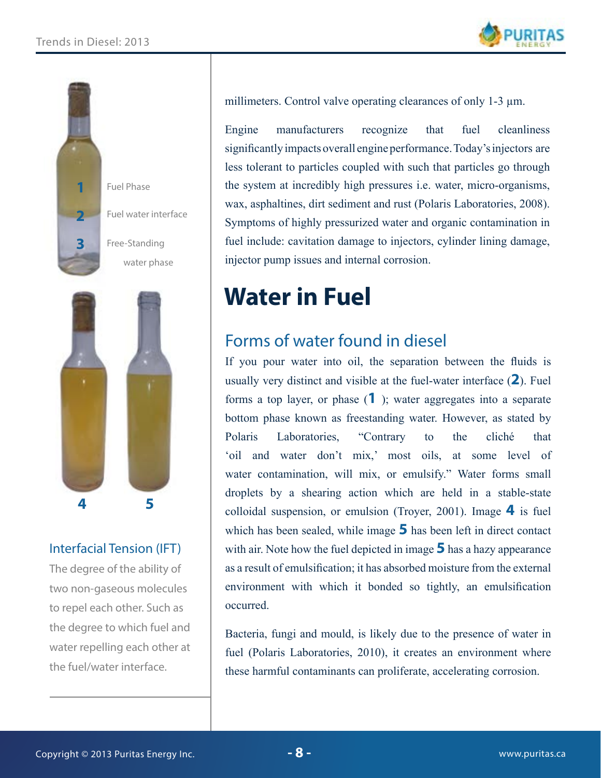



#### Interfacial Tension (IFT)

The degree of the ability of two non-gaseous molecules to repel each other. Such as the degree to which fuel and water repelling each other at the fuel/water interface.

millimeters. Control valve operating clearances of only 1-3  $\mu$ m.

Engine manufacturers recognize that fuel cleanliness significantly impacts overall engine performance. Today's injectors are less tolerant to particles coupled with such that particles go through the system at incredibly high pressures i.e. water, micro-organisms, wax, asphaltines, dirt sediment and rust (Polaris Laboratories, 2008). Symptoms of highly pressurized water and organic contamination in fuel include: cavitation damage to injectors, cylinder lining damage, injector pump issues and internal corrosion.

# **Water in Fuel**

### Forms of water found in diesel

If you pour water into oil, the separation between the fluids is usually very distinct and visible at the fuel-water interface (**2**). Fuel forms a top layer, or phase (**1** ); water aggregates into a separate bottom phase known as freestanding water. However, as stated by Polaris Laboratories, "Contrary to the cliché that 'oil and water don't mix,' most oils, at some level of water contamination, will mix, or emulsify." Water forms small droplets by a shearing action which are held in a stable-state colloidal suspension, or emulsion (Troyer, 2001). Image **4** is fuel which has been sealed, while image **5** has been left in direct contact with air. Note how the fuel depicted in image **5** has a hazy appearance as a result of emulsification; it has absorbed moisture from the external environment with which it bonded so tightly, an emulsification occurred.

Bacteria, fungi and mould, is likely due to the presence of water in fuel (Polaris Laboratories, 2010), it creates an environment where these harmful contaminants can proliferate, accelerating corrosion.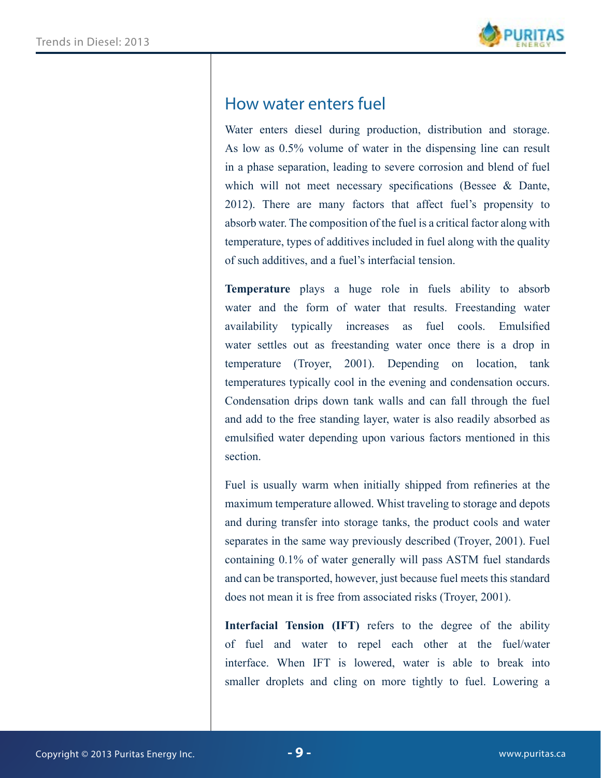

#### How water enters fuel

Water enters diesel during production, distribution and storage. As low as 0.5% volume of water in the dispensing line can result in a phase separation, leading to severe corrosion and blend of fuel which will not meet necessary specifications (Bessee & Dante, 2012). There are many factors that affect fuel's propensity to absorb water. The composition of the fuel is a critical factor along with temperature, types of additives included in fuel along with the quality of such additives, and a fuel's interfacial tension.

**Temperature** plays a huge role in fuels ability to absorb water and the form of water that results. Freestanding water availability typically increases as fuel cools. Emulsified water settles out as freestanding water once there is a drop in temperature (Troyer, 2001). Depending on location, tank temperatures typically cool in the evening and condensation occurs. Condensation drips down tank walls and can fall through the fuel and add to the free standing layer, water is also readily absorbed as emulsified water depending upon various factors mentioned in this section.

Fuel is usually warm when initially shipped from refineries at the maximum temperature allowed. Whist traveling to storage and depots and during transfer into storage tanks, the product cools and water separates in the same way previously described (Troyer, 2001). Fuel containing 0.1% of water generally will pass ASTM fuel standards and can be transported, however, just because fuel meets this standard does not mean it is free from associated risks (Troyer, 2001).

**Interfacial Tension (IFT)** refers to the degree of the ability of fuel and water to repel each other at the fuel/water interface. When IFT is lowered, water is able to break into smaller droplets and cling on more tightly to fuel. Lowering a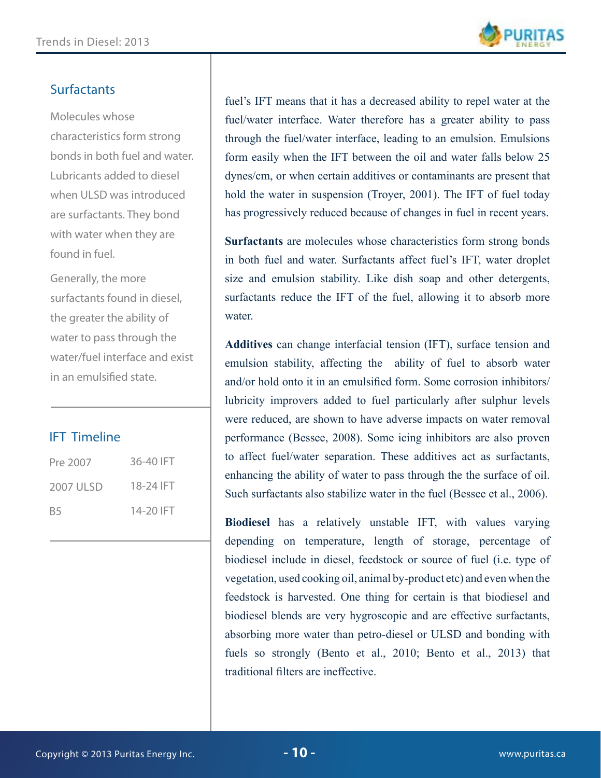

#### **Surfactants**

Molecules whose characteristics form strong bonds in both fuel and water. Lubricants added to diesel when ULSD was introduced are surfactants. They bond with water when they are found in fuel.

Generally, the more surfactants found in diesel, the greater the ability of water to pass through the water/fuel interface and exist in an emulsified state.

#### IFT Timeline

| Pre 2007  | 36-40 IFT |
|-----------|-----------|
| 2007 ULSD | 18-24 IFT |
| B5        | 14-20 IFT |

fuel's IFT means that it has a decreased ability to repel water at the fuel/water interface. Water therefore has a greater ability to pass through the fuel/water interface, leading to an emulsion. Emulsions form easily when the IFT between the oil and water falls below 25 dynes/cm, or when certain additives or contaminants are present that hold the water in suspension (Troyer, 2001). The IFT of fuel today has progressively reduced because of changes in fuel in recent years.

**Surfactants** are molecules whose characteristics form strong bonds in both fuel and water. Surfactants affect fuel's IFT, water droplet size and emulsion stability. Like dish soap and other detergents, surfactants reduce the IFT of the fuel, allowing it to absorb more water

**Additives** can change interfacial tension (IFT), surface tension and emulsion stability, affecting the ability of fuel to absorb water and/or hold onto it in an emulsified form. Some corrosion inhibitors/ lubricity improvers added to fuel particularly after sulphur levels were reduced, are shown to have adverse impacts on water removal performance (Bessee, 2008). Some icing inhibitors are also proven to affect fuel/water separation. These additives act as surfactants, enhancing the ability of water to pass through the the surface of oil. Such surfactants also stabilize water in the fuel (Bessee et al., 2006).

**Biodiesel** has a relatively unstable IFT, with values varying depending on temperature, length of storage, percentage of biodiesel include in diesel, feedstock or source of fuel (i.e. type of vegetation, used cooking oil, animal by-product etc) and even when the feedstock is harvested. One thing for certain is that biodiesel and biodiesel blends are very hygroscopic and are effective surfactants, absorbing more water than petro-diesel or ULSD and bonding with fuels so strongly (Bento et al., 2010; Bento et al., 2013) that traditional filters are ineffective.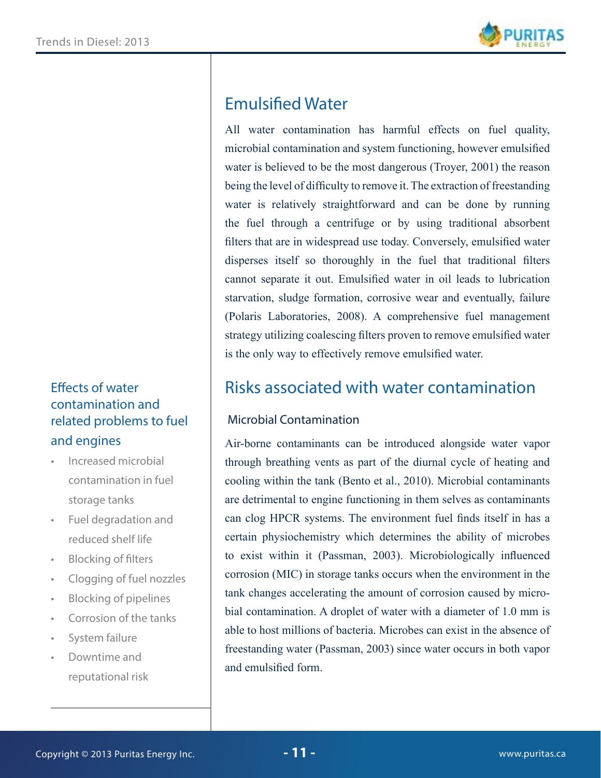

### Emulsified Water

All water contamination has harmful effects on fuel quality, microbial contamination and system functioning, however emulsified water is believed to be the most dangerous (Troyer, 2001) the reason being the level of difficulty to remove it. The extraction of freestanding water is relatively straightforward and can be done by running the fuel through a centrifuge or by using traditional absorbent filters that are in widespread use today. Conversely, emulsified water disperses itself so thoroughly in the fuel that traditional filters cannot separate it out. Emulsified water in oil leads to lubrication starvation, sludge formation, corrosive wear and eventually, failure (Polaris Laboratories, 2008). A comprehensive fuel management strategy utilizing coalescing filters proven to remove emulsified water is the only way to effectively remove emulsified water.

### Risks associated with water contamination

#### Microbial Contamination

Air-borne contaminants can be introduced alongside water vapor through breathing vents as part of the diurnal cycle of heating and cooling within the tank (Bento et al., 2010). Microbial contaminants are detrimental to engine functioning in them selves as contaminants can clog HPCR systems. The environment fuel finds itself in has a certain physiochemistry which determines the ability of microbes to exist within it (Passman, 2003). Microbiologically influenced corrosion (MIC) in storage tanks occurs when the environment in the tank changes accelerating the amount of corrosion caused by microbial contamination. A droplet of water with a diameter of 1.0 mm is able to host millions of bacteria. Microbes can exist in the absence of freestanding water (Passman, 2003) since water occurs in both vapor and emulsified form.

#### Effects of water contamination and related problems to fuel and engines

- Increased microbial contamination in fuel storage tanks
- Fuel degradation and reduced shelf life
- **Blocking of filters**
- Clogging of fuel nozzles
- Blocking of pipelines
- Corrosion of the tanks
- System failure
- Downtime and reputational risk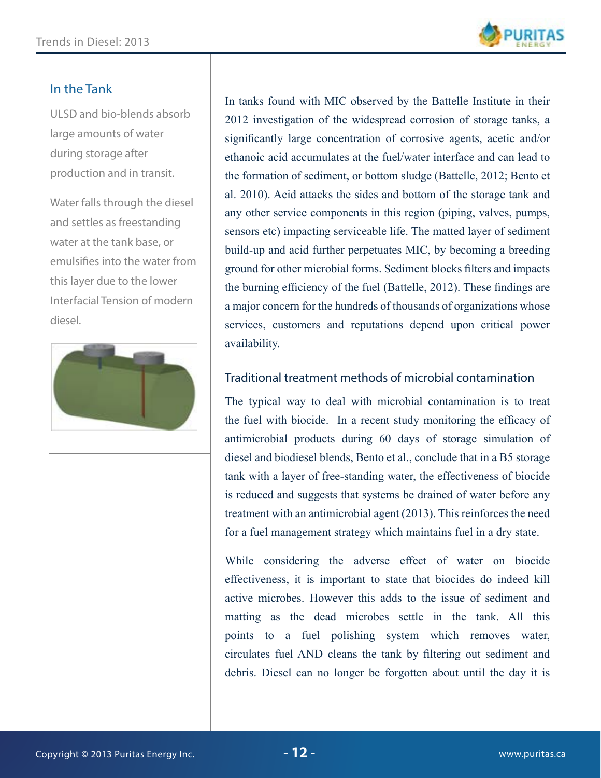

#### In the Tank

ULSD and bio-blends absorb large amounts of water during storage after production and in transit.

Water falls through the diesel and settles as freestanding water at the tank base, or emulsifies into the water from this layer due to the lower Interfacial Tension of modern diesel.



In tanks found with MIC observed by the Battelle Institute in their 2012 investigation of the widespread corrosion of storage tanks, a significantly large concentration of corrosive agents, acetic and/or ethanoic acid accumulates at the fuel/water interface and can lead to the formation of sediment, or bottom sludge (Battelle, 2012; Bento et al. 2010). Acid attacks the sides and bottom of the storage tank and any other service components in this region (piping, valves, pumps, sensors etc) impacting serviceable life. The matted layer of sediment build-up and acid further perpetuates MIC, by becoming a breeding ground for other microbial forms. Sediment blocks filters and impacts the burning efficiency of the fuel (Battelle, 2012). These findings are a major concern for the hundreds of thousands of organizations whose services, customers and reputations depend upon critical power availability.

#### Traditional treatment methods of microbial contamination

The typical way to deal with microbial contamination is to treat the fuel with biocide. In a recent study monitoring the efficacy of antimicrobial products during 60 days of storage simulation of diesel and biodiesel blends, Bento et al., conclude that in a B5 storage tank with a layer of free-standing water, the effectiveness of biocide is reduced and suggests that systems be drained of water before any treatment with an antimicrobial agent (2013). This reinforces the need for a fuel management strategy which maintains fuel in a dry state.

While considering the adverse effect of water on biocide effectiveness, it is important to state that biocides do indeed kill active microbes. However this adds to the issue of sediment and matting as the dead microbes settle in the tank. All this points to a fuel polishing system which removes water, circulates fuel AND cleans the tank by filtering out sediment and debris. Diesel can no longer be forgotten about until the day it is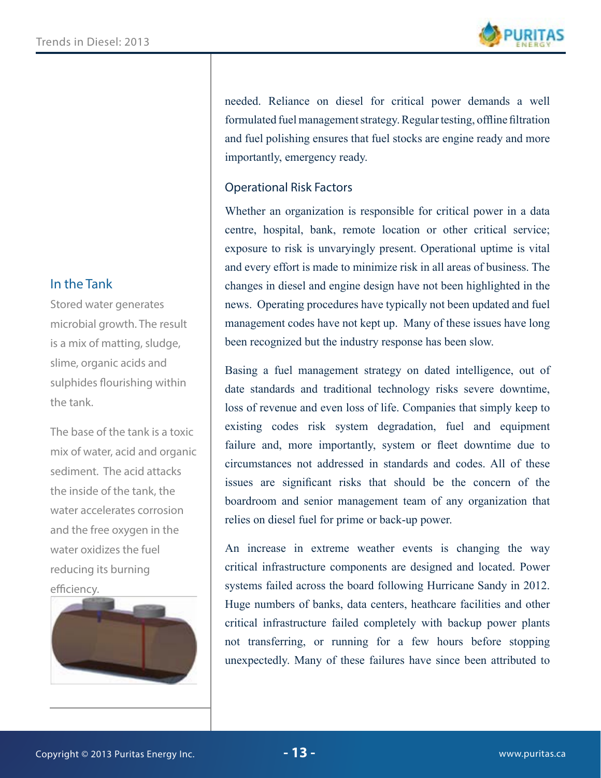#### In the Tank

Stored water generates microbial growth. The result is a mix of matting, sludge, slime, organic acids and sulphides flourishing within the tank.

The base of the tank is a toxic mix of water, acid and organic sediment. The acid attacks the inside of the tank, the water accelerates corrosion and the free oxygen in the water oxidizes the fuel reducing its burning efficiency.



needed. Reliance on diesel for critical power demands a well formulated fuel management strategy. Regular testing, offline filtration and fuel polishing ensures that fuel stocks are engine ready and more importantly, emergency ready.

#### Operational Risk Factors

Whether an organization is responsible for critical power in a data centre, hospital, bank, remote location or other critical service; exposure to risk is unvaryingly present. Operational uptime is vital and every effort is made to minimize risk in all areas of business. The changes in diesel and engine design have not been highlighted in the news. Operating procedures have typically not been updated and fuel management codes have not kept up. Many of these issues have long been recognized but the industry response has been slow.

Basing a fuel management strategy on dated intelligence, out of date standards and traditional technology risks severe downtime, loss of revenue and even loss of life. Companies that simply keep to existing codes risk system degradation, fuel and equipment failure and, more importantly, system or fleet downtime due to circumstances not addressed in standards and codes. All of these issues are significant risks that should be the concern of the boardroom and senior management team of any organization that relies on diesel fuel for prime or back-up power.

An increase in extreme weather events is changing the way critical infrastructure components are designed and located. Power systems failed across the board following Hurricane Sandy in 2012. Huge numbers of banks, data centers, heathcare facilities and other critical infrastructure failed completely with backup power plants not transferring, or running for a few hours before stopping unexpectedly. Many of these failures have since been attributed to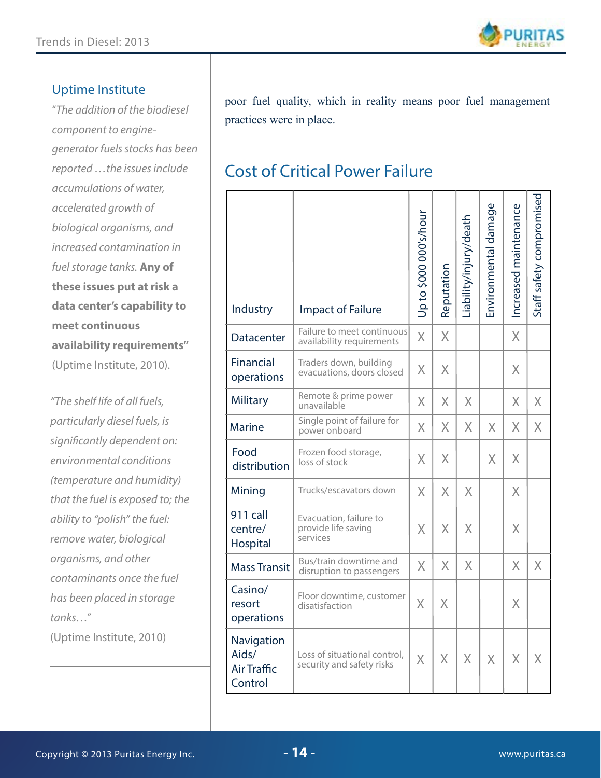

#### Uptime Institute

"*The addition of the biodiesel component to enginegenerator fuels stocks has been reported …the issues include accumulations of water, accelerated growth of biological organisms, and increased contamination in fuel storage tanks.* **Any of these issues put at risk a data center's capability to meet continuous availability requirements"**  (Uptime Institute, 2010).

*"The shelf life of all fuels, particularly diesel fuels, is significantly dependent on: environmental conditions (temperature and humidity) that the fuel is exposed to; the ability to "polish" the fuel: remove water, biological organisms, and other contaminants once the fuel has been placed in storage tanks…"* 

(Uptime Institute, 2010)

poor fuel quality, which in reality means poor fuel management practices were in place.

### Cost of Critical Power Failure

| Industry                                             | <b>Impact of Failure</b>                                  | Up to \$000 000's/hour | Reputation | Liability/injury/death | Environmental damage | Increased maintenance | Staff safety compromised |
|------------------------------------------------------|-----------------------------------------------------------|------------------------|------------|------------------------|----------------------|-----------------------|--------------------------|
| <b>Datacenter</b>                                    | Failure to meet continuous<br>availability requirements   | $\times$               | X          |                        |                      | $\chi$                |                          |
| Financial<br>operations                              | Traders down, building<br>evacuations, doors closed       | $\chi$                 | X          |                        |                      | X                     |                          |
| <b>Military</b>                                      | Remote & prime power<br>unavailable                       | X                      | X          | $\chi$                 |                      | X                     | $\overline{X}$           |
| <b>Marine</b>                                        | Single point of failure for<br>power onboard              | X                      | X          | $\chi$                 | X                    | X                     | $\overline{X}$           |
| Food<br>distribution                                 | Frozen food storage,<br>loss of stock                     | $\overline{X}$         | $\chi$     |                        | $\chi$               | X                     |                          |
| Mining                                               | Trucks/escavators down                                    | X                      | $\chi$     | X                      |                      | X                     |                          |
| 911 call<br>centre/<br>Hospital                      | Evacuation, failure to<br>provide life saving<br>services | X                      | X          | X                      |                      | X                     |                          |
| <b>Mass Transit</b>                                  | Bus/train downtime and<br>disruption to passengers        | X                      | X          | $\chi$                 |                      | X                     | X                        |
| Casino/<br>resort<br>operations                      | Floor downtime, customer<br>disatisfaction                | $\chi$                 | X          |                        |                      | X                     |                          |
| Navigation<br>Aids/<br><b>Air Traffic</b><br>Control | Loss of situational control,<br>security and safety risks | X                      | Χ          | X                      | X                    | X                     | Χ                        |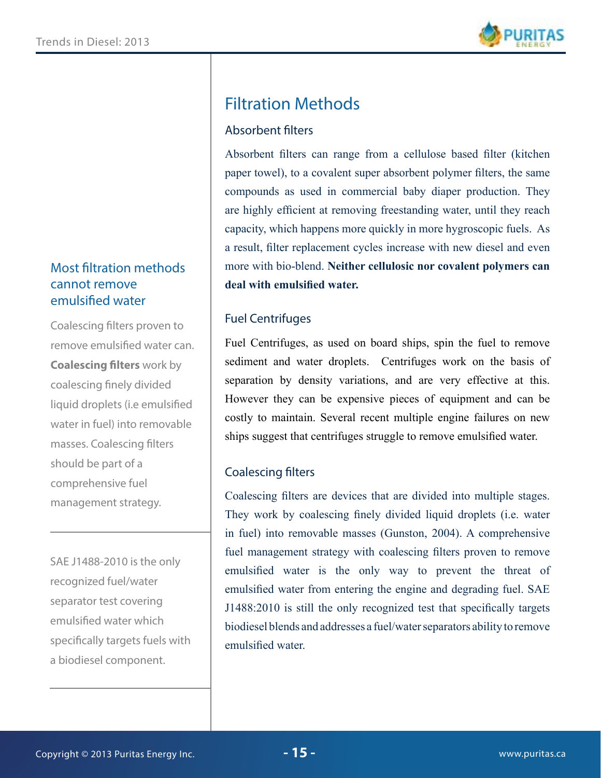#### Most filtration methods cannot remove emulsified water

Coalescing filters proven to remove emulsified water can. **Coalescing filters** work by coalescing finely divided liquid droplets (i.e emulsified water in fuel) into removable masses. Coalescing filters should be part of a comprehensive fuel management strategy.

SAE J1488-2010 is the only recognized fuel/water separator test covering emulsified water which specifically targets fuels with a biodiesel component.

## Filtration Methods

#### Absorbent filters

Absorbent filters can range from a cellulose based filter (kitchen paper towel), to a covalent super absorbent polymer filters, the same compounds as used in commercial baby diaper production. They are highly efficient at removing freestanding water, until they reach capacity, which happens more quickly in more hygroscopic fuels. As a result, filter replacement cycles increase with new diesel and even more with bio-blend. **Neither cellulosic nor covalent polymers can deal with emulsified water.** 

#### Fuel Centrifuges

Fuel Centrifuges, as used on board ships, spin the fuel to remove sediment and water droplets. Centrifuges work on the basis of separation by density variations, and are very effective at this. However they can be expensive pieces of equipment and can be costly to maintain. Several recent multiple engine failures on new ships suggest that centrifuges struggle to remove emulsified water.

#### Coalescing filters

Coalescing filters are devices that are divided into multiple stages. They work by coalescing finely divided liquid droplets (i.e. water in fuel) into removable masses (Gunston, 2004). A comprehensive fuel management strategy with coalescing filters proven to remove emulsified water is the only way to prevent the threat of emulsified water from entering the engine and degrading fuel. SAE J1488:2010 is still the only recognized test that specifically targets biodiesel blends and addresses a fuel/water separators ability to remove emulsified water.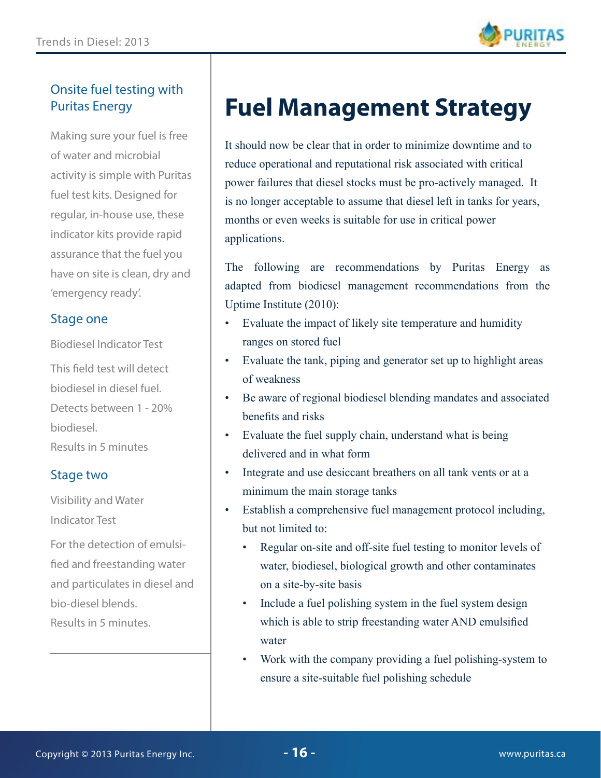

#### Onsite fuel testing with Puritas Energy

Making sure your fuel is free of water and microbial activity is simple with Puritas fuel test kits. Designed for regular, in-house use, these indicator kits provide rapid assurance that the fuel you have on site is clean, dry and 'emergency ready'.

#### Stage one

Biodiesel Indicator Test

This field test will detect biodiesel in diesel fuel. Detects between 1 - 20% biodiesel. Results in 5 minutes

#### Stage two

Visibility and Water Indicator Test

For the detection of emulsified and freestanding water and particulates in diesel and bio-diesel blends. Results in 5 minutes.

# **Fuel Management Strategy**

It should now be clear that in order to minimize downtime and to reduce operational and reputational risk associated with critical power failures that diesel stocks must be pro-actively managed. It is no longer acceptable to assume that diesel left in tanks for years, months or even weeks is suitable for use in critical power applications.

The following are recommendations by Puritas Energy as adapted from biodiesel management recommendations from the Uptime Institute (2010):

- Evaluate the impact of likely site temperature and humidity ranges on stored fuel
- Evaluate the tank, piping and generator set up to highlight areas of weakness
- Be aware of regional biodiesel blending mandates and associated benefits and risks
- Evaluate the fuel supply chain, understand what is being delivered and in what form
- Integrate and use desiccant breathers on all tank vents or at a minimum the main storage tanks
- Establish a comprehensive fuel management protocol including, but not limited to:
	- Regular on-site and off-site fuel testing to monitor levels of water, biodiesel, biological growth and other contaminates on a site-by-site basis
	- Include a fuel polishing system in the fuel system design which is able to strip freestanding water AND emulsified water
	- Work with the company providing a fuel polishing-system to ensure a site-suitable fuel polishing schedule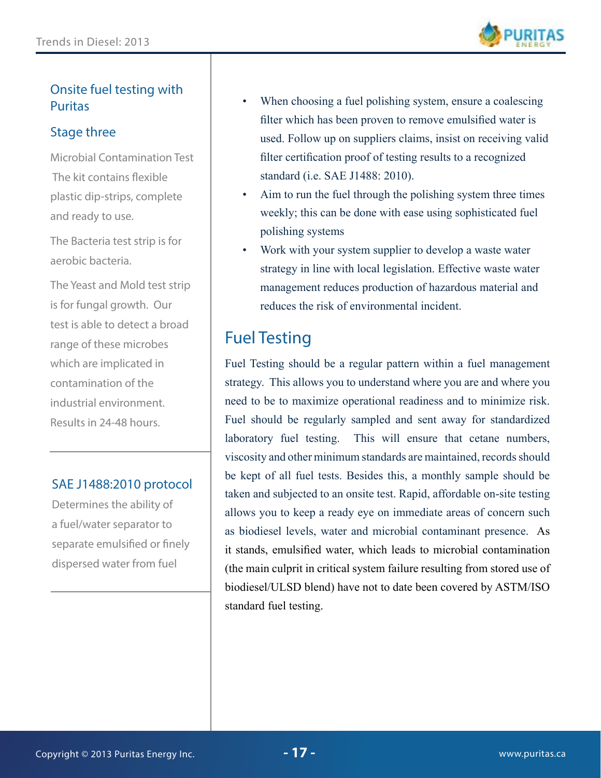

#### Onsite fuel testing with Puritas

#### Stage three

Microbial Contamination Test The kit contains flexible plastic dip-strips, complete and ready to use.

The Bacteria test strip is for aerobic bacteria.

The Yeast and Mold test strip is for fungal growth. Our test is able to detect a broad range of these microbes which are implicated in contamination of the industrial environment. Results in 24-48 hours.

#### SAE J1488:2010 protocol

Determines the ability of a fuel/water separator to separate emulsified or finely dispersed water from fuel

- When choosing a fuel polishing system, ensure a coalescing filter which has been proven to remove emulsified water is used. Follow up on suppliers claims, insist on receiving valid filter certification proof of testing results to a recognized standard (i.e. SAE J1488: 2010).
- Aim to run the fuel through the polishing system three times weekly; this can be done with ease using sophisticated fuel polishing systems
- Work with your system supplier to develop a waste water strategy in line with local legislation. Effective waste water management reduces production of hazardous material and reduces the risk of environmental incident.

### Fuel Testing

Fuel Testing should be a regular pattern within a fuel management strategy. This allows you to understand where you are and where you need to be to maximize operational readiness and to minimize risk. Fuel should be regularly sampled and sent away for standardized laboratory fuel testing. This will ensure that cetane numbers, viscosity and other minimum standards are maintained, records should be kept of all fuel tests. Besides this, a monthly sample should be taken and subjected to an onsite test. Rapid, affordable on-site testing allows you to keep a ready eye on immediate areas of concern such as biodiesel levels, water and microbial contaminant presence. As it stands, emulsified water, which leads to microbial contamination (the main culprit in critical system failure resulting from stored use of biodiesel/ULSD blend) have not to date been covered by ASTM/ISO standard fuel testing.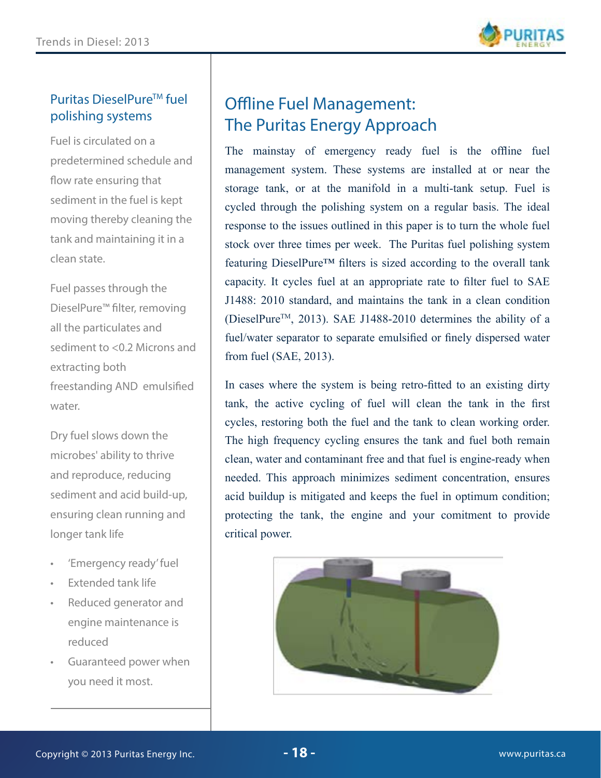

#### Puritas DieselPure<sup>™</sup> fuel polishing systems

Fuel is circulated on a predetermined schedule and flow rate ensuring that sediment in the fuel is kept moving thereby cleaning the tank and maintaining it in a clean state.

Fuel passes through the DieselPure™ filter, removing all the particulates and sediment to <0.2 Microns and extracting both freestanding AND emulsified water.

Dry fuel slows down the microbes' ability to thrive and reproduce, reducing sediment and acid build-up, ensuring clean running and longer tank life

- 'Emergency ready' fuel
- Extended tank life
- Reduced generator and engine maintenance is reduced
- Guaranteed power when you need it most.

## Offline Fuel Management: The Puritas Energy Approach

The mainstay of emergency ready fuel is the offline fuel management system. These systems are installed at or near the storage tank, or at the manifold in a multi-tank setup. Fuel is cycled through the polishing system on a regular basis. The ideal response to the issues outlined in this paper is to turn the whole fuel stock over three times per week. The Puritas fuel polishing system featuring DieselPure™ filters is sized according to the overall tank capacity. It cycles fuel at an appropriate rate to filter fuel to SAE J1488: 2010 standard, and maintains the tank in a clean condition (DieselPure<sup>TM</sup>, 2013). SAE J1488-2010 determines the ability of a fuel/water separator to separate emulsified or finely dispersed water from fuel (SAE, 2013).

In cases where the system is being retro-fitted to an existing dirty tank, the active cycling of fuel will clean the tank in the first cycles, restoring both the fuel and the tank to clean working order. The high frequency cycling ensures the tank and fuel both remain clean, water and contaminant free and that fuel is engine-ready when needed. This approach minimizes sediment concentration, ensures acid buildup is mitigated and keeps the fuel in optimum condition; protecting the tank, the engine and your comitment to provide critical power.

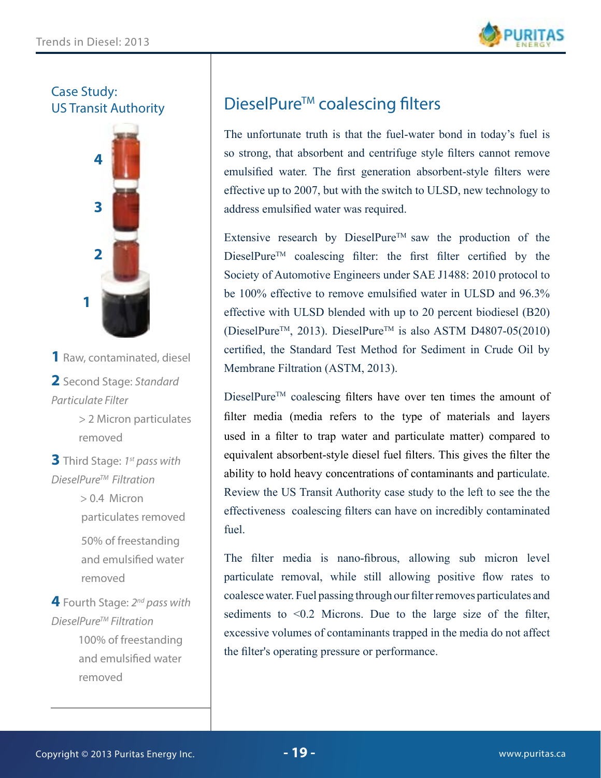

Case Study: US Transit Authority



- **1** Raw, contaminated, diesel
- **2** Second Stage: *Standard Particulate Filter* 
	- > 2 Micron particulates removed
- **3** Third Stage: *1st pass with DieselPureTM Filtration*
	- > 0.4 Micron particulates removed 50% of freestanding and emulsified water removed

**4** Fourth Stage: *2nd pass with DieselPureTM Filtration* 100% of freestanding and emulsified water

removed

# DieselPure<sup>™</sup> coalescing filters

The unfortunate truth is that the fuel-water bond in today's fuel is so strong, that absorbent and centrifuge style filters cannot remove emulsified water. The first generation absorbent-style filters were effective up to 2007, but with the switch to ULSD, new technology to address emulsified water was required.

Extensive research by DieselPure<sup>TM</sup> saw the production of the DieselPure<sup>TM</sup> coalescing filter: the first filter certified by the Society of Automotive Engineers under SAE J1488: 2010 protocol to be 100% effective to remove emulsified water in ULSD and 96.3% effective with ULSD blended with up to 20 percent biodiesel (B20) (DieselPure<sup>TM</sup>, 2013). DieselPure<sup>TM</sup> is also ASTM D4807-05(2010) certified, the Standard Test Method for Sediment in Crude Oil by Membrane Filtration (ASTM, 2013).

DieselPure<sup>TM</sup> coalescing filters have over ten times the amount of filter media (media refers to the type of materials and layers used in a filter to trap water and particulate matter) compared to equivalent absorbent-style diesel fuel filters. This gives the filter the ability to hold heavy concentrations of contaminants and particulate. Review the US Transit Authority case study to the left to see the the effectiveness coalescing filters can have on incredibly contaminated fuel.

The filter media is nano-fibrous, allowing sub micron level particulate removal, while still allowing positive flow rates to coalesce water. Fuel passing through our filter removes particulates and sediments to <0.2 Microns. Due to the large size of the filter, excessive volumes of contaminants trapped in the media do not affect the filter's operating pressure or performance.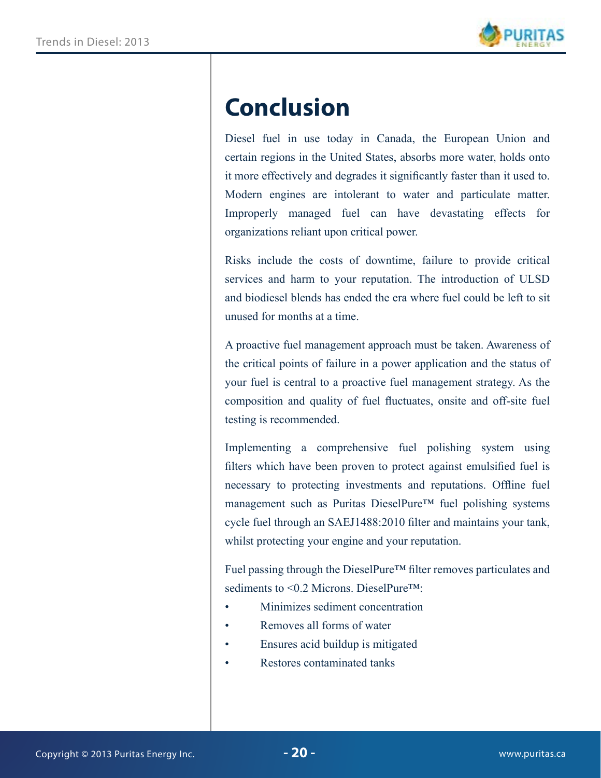

# **Conclusion**

Diesel fuel in use today in Canada, the European Union and certain regions in the United States, absorbs more water, holds onto it more effectively and degrades it significantly faster than it used to. Modern engines are intolerant to water and particulate matter. Improperly managed fuel can have devastating effects for organizations reliant upon critical power.

Risks include the costs of downtime, failure to provide critical services and harm to your reputation. The introduction of ULSD and biodiesel blends has ended the era where fuel could be left to sit unused for months at a time.

A proactive fuel management approach must be taken. Awareness of the critical points of failure in a power application and the status of your fuel is central to a proactive fuel management strategy. As the composition and quality of fuel fluctuates, onsite and off-site fuel testing is recommended.

Implementing a comprehensive fuel polishing system using filters which have been proven to protect against emulsified fuel is necessary to protecting investments and reputations. Offline fuel management such as Puritas DieselPure™ fuel polishing systems cycle fuel through an SAEJ1488:2010 filter and maintains your tank, whilst protecting your engine and your reputation.

Fuel passing through the DieselPure™ filter removes particulates and sediments to <0.2 Microns. DieselPure™:

- Minimizes sediment concentration
- Removes all forms of water
- Ensures acid buildup is mitigated
- Restores contaminated tanks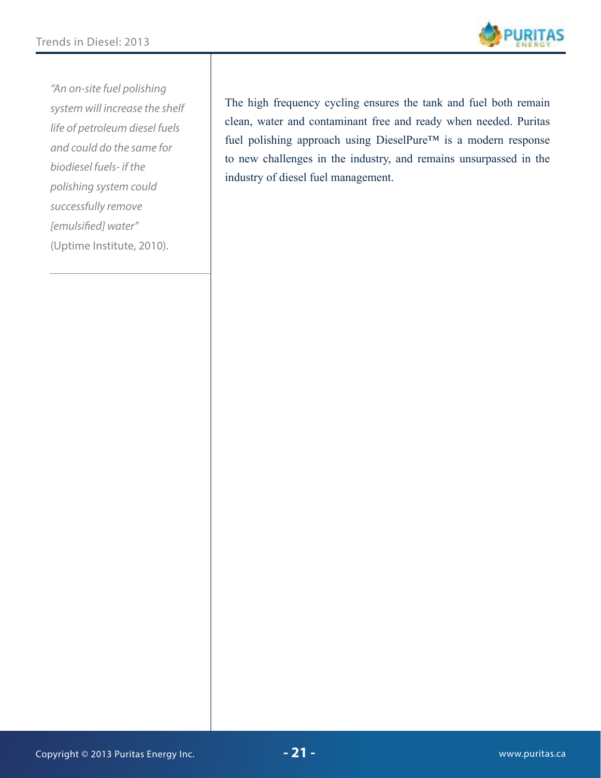

*"An on-site fuel polishing system will increase the shelf life of petroleum diesel fuels and could do the same for biodiesel fuels- if the polishing system could successfully remove [emulsified] water"*  (Uptime Institute, 2010).

The high frequency cycling ensures the tank and fuel both remain clean, water and contaminant free and ready when needed. Puritas fuel polishing approach using DieselPure™ is a modern response to new challenges in the industry, and remains unsurpassed in the industry of diesel fuel management.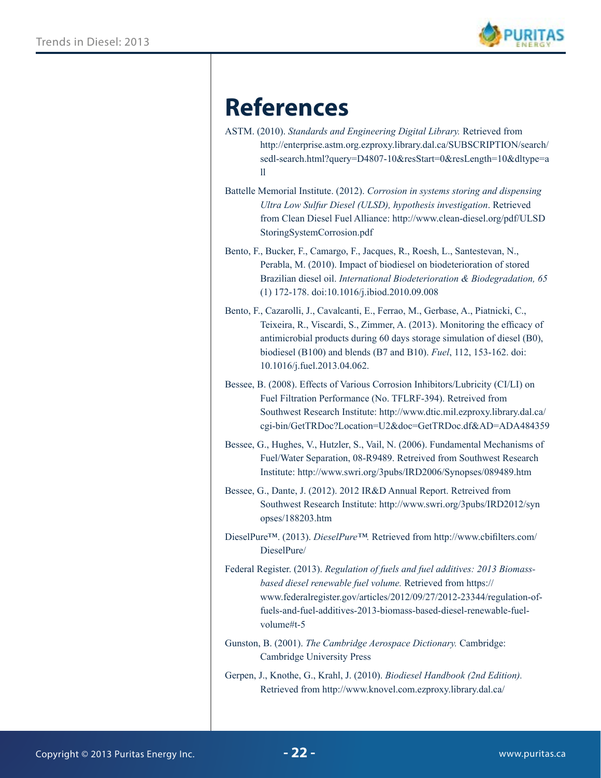

# **References**

| ASTM. (2010). Standards and Engineering Digital Library. Retrieved from |
|-------------------------------------------------------------------------|
| http://enterprise.astm.org.ezproxy.library.dal.ca/SUBSCRIPTION/search/  |
| sedl-search.html?query=D4807-10&resStart=0&resLength=10&dltype=a        |
|                                                                         |

- Battelle Memorial Institute. (2012). *Corrosion in systems storing and dispensing Ultra Low Sulfur Diesel (ULSD), hypothesis investigation*. Retrieved from Clean Diesel Fuel Alliance: http://www.clean-diesel.org/pdf/ULSD StoringSystemCorrosion.pdf
- Bento, F., Bucker, F., Camargo, F., Jacques, R., Roesh, L., Santestevan, N., Perabla, M. (2010). Impact of biodiesel on biodeterioration of stored Brazilian diesel oil. *International Biodeterioration & Biodegradation, 65*  (1) 172-178. doi:10.1016/j.ibiod.2010.09.008
- Bento, F., Cazarolli, J., Cavalcanti, E., Ferrao, M., Gerbase, A., Piatnicki, C., Teixeira, R., Viscardi, S., Zimmer, A. (2013). Monitoring the efficacy of antimicrobial products during 60 days storage simulation of diesel (B0), biodiesel (B100) and blends (B7 and B10). *Fuel*, 112, 153-162. doi: 10.1016/j.fuel.2013.04.062.
- Bessee, B. (2008). Effects of Various Corrosion Inhibitors/Lubricity (CI/LI) on Fuel Filtration Performance (No. TFLRF-394). Retreived from Southwest Research Institute: http://www.dtic.mil.ezproxy.library.dal.ca/ cgi-bin/GetTRDoc?Location=U2&doc=GetTRDoc.df&AD=ADA484359
- Bessee, G., Hughes, V., Hutzler, S., Vail, N. (2006). Fundamental Mechanisms of Fuel/Water Separation, 08-R9489. Retreived from Southwest Research Institute: http://www.swri.org/3pubs/IRD2006/Synopses/089489.htm
- Bessee, G., Dante, J. (2012). 2012 IR&D Annual Report. Retreived from Southwest Research Institute: http://www.swri.org/3pubs/IRD2012/syn opses/188203.htm
- DieselPure™. (2013). *DieselPure™.* Retrieved from http://www.cbifilters.com/ DieselPure/
- Federal Register. (2013). *Regulation of fuels and fuel additives: 2013 Biomassbased diesel renewable fuel volume.* Retrieved from https:// www.federalregister.gov/articles/2012/09/27/2012-23344/regulation-offuels-and-fuel-additives-2013-biomass-based-diesel-renewable-fuelvolume#t-5
- Gunston, B. (2001). *The Cambridge Aerospace Dictionary.* Cambridge: Cambridge University Press
- Gerpen, J., Knothe, G., Krahl, J. (2010). *Biodiesel Handbook (2nd Edition).* Retrieved from http://www.knovel.com.ezproxy.library.dal.ca/